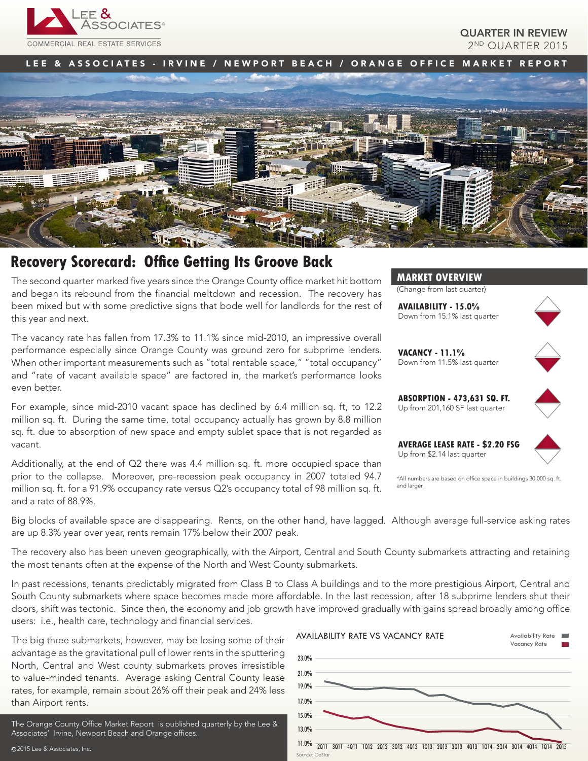

QUARTER IN REVIEW 2ND QUARTER 2015

# LEE & ASSOCIATES - IRVINE / NEWPORT BEACH / ORANGE OFFICE MARKET REPORT



# **Recovery Scorecard: Office Getting Its Groove Back**

The second quarter marked five years since the Orange County office market hit bottom and began its rebound from the financial meltdown and recession. The recovery has been mixed but with some predictive signs that bode well for landlords for the rest of this year and next.

The vacancy rate has fallen from 17.3% to 11.1% since mid-2010, an impressive overall performance especially since Orange County was ground zero for subprime lenders. When other important measurements such as "total rentable space," "total occupancy" and "rate of vacant available space" are factored in, the market's performance looks even better.

For example, since mid-2010 vacant space has declined by 6.4 million sq. ft, to 12.2 million sq. ft. During the same time, total occupancy actually has grown by 8.8 million sq. ft. due to absorption of new space and empty sublet space that is not regarded as vacant.

Additionally, at the end of  $Q2$  there was 4.4 million sq. ft. more occupied space than prior to the collapse. Moreover, pre-recession peak occupancy in 2007 totaled 94.7 million sq. ft. for a 91.9% occupancy rate versus Q2's occupancy total of 98 million sq. ft. and a rate of 88.9%.



(Change from last quarter)

**AVAILABILITY - 15.0%** Down from 15.1% last quarter



**VACANCY - 11.1%** Down from 11.5% last quarter



**ABSORPTION - 473,631 SQ. FT.** Up from 201,160 SF last quarter

**AVERAGE LEASE RATE - \$2.20 FSG** Up from \$2.14 last quarter



\*All numbers are based on office space in buildings 30,000 sq. ft. and larger

Big blocks of available space are disappearing. Rents, on the other hand, have lagged. Although average full-service asking rates are up 8.3% year over year, rents remain 17% below their 2007 peak.

The recovery also has been uneven geographically, with the Airport, Central and South County submarkets attracting and retaining the most tenants often at the expense of the North and West County submarkets.

In past recessions, tenants predictably migrated from Class B to Class A buildings and to the more prestigious Airport, Central and South County submarkets where space becomes made more affordable. In the last recession, after 18 subprime lenders shut their doors, shift was tectonic. Since then, the economy and job growth have improved gradually with gains spread broadly among office users: i.e., health care, technology and financial services.

The big three submarkets, however, may be losing some of their advantage as the gravitational pull of lower rents in the sputtering North, Central and West county submarkets proves irresistible to value-minded tenants. Average asking Central County lease rates, for example, remain about 26% off their peak and 24% less than Airport rents.

The Orange County Office Market Report is published quarterly by the Lee & Associates' Irvine, Newport Beach and Orange offices.

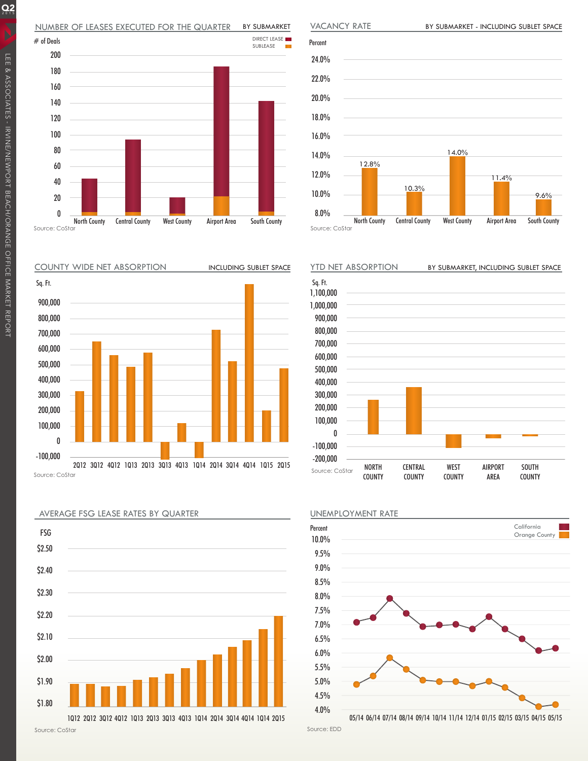



COUNTY WIDE NET ABSORPTION





AVERAGE FSG LEASE RATES BY QUARTER

BY SUBMARKET - INCLUDING SUBLET SPACE

VACANCY RATE

Source: CoStar





Source: EDD

 $Q_2$ 

Percent 24.0% 22.0% 20.0% 18.0% 16.0% 14.0% 12.0% 10.0% 8.0% North County Central County West County Airport Area South County 12.8% 14.0% 10.3% 9.6% 11.4%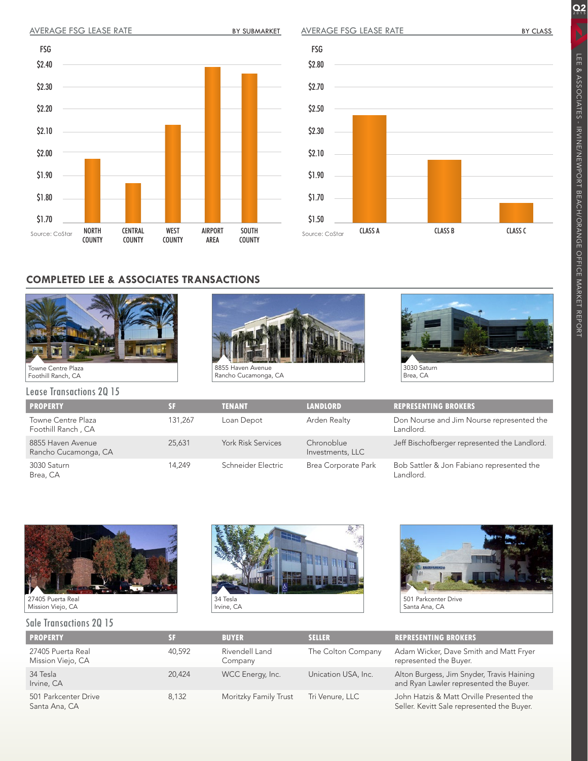BY SUBMARKET

AVERAGE FSG LEASE RATE

 $Q_2$ 

LEE & ASSOCIATES - IRVINE/NEWPORT BEACH/ORANGE OFFICE MARKET REPORT

LEE & ASSOCIATES - IRVINE/NEWPORT BEACH/ORANGE OFFICE MARKET REPORT



# **COMPLETED LEE & ASSOCIATES TRANSACTIONS**



Towne Centre Plaza Foothill Ranch, CA



Source: CoStar

\$2.80

FSG

\$2.70

\$2.50

\$2.30

\$2.10

\$1.90

\$1.70

\$1.50



CLASS A CLASS B CLASS C

Lease Transactions 2Q 15

| <b>PROPERTY</b>                                 | SF      | <b>TENANT</b>             | <b>LANDLORD</b>                | <b>REPRESENTING BROKERS</b>                            |
|-------------------------------------------------|---------|---------------------------|--------------------------------|--------------------------------------------------------|
| <b>Towne Centre Plaza</b><br>Foothill Ranch, CA | 131.267 | Loan Depot                | Arden Realty                   | Don Nourse and Jim Nourse represented the<br>Landlord. |
| 8855 Haven Avenue<br>Rancho Cucamonga, CA       | 25,631  | <b>York Risk Services</b> | Chronoblue<br>Investments, LLC | Jeff Bischofberger represented the Landlord.           |
| 3030 Saturn<br>Brea, CA                         | 14.249  | Schneider Electric        | <b>Brea Corporate Park</b>     | Bob Sattler & Jon Fabiano represented the<br>Landlord. |



27405 Puerta Real Mission Viejo, CA

#### Sale Transactions 2Q 15





Santa Ana, CA

| <b>PROPERTY</b>                        | SF     | <b>BUYER</b>              | <b>SELLER</b>       | <b>REPRESENTING BROKERS</b>                                                            |
|----------------------------------------|--------|---------------------------|---------------------|----------------------------------------------------------------------------------------|
| 27405 Puerta Real<br>Mission Viejo, CA | 40,592 | Rivendell Land<br>Company | The Colton Company  | Adam Wicker, Dave Smith and Matt Fryer<br>represented the Buyer.                       |
| 34 Tesla<br>Irvine, CA                 | 20.424 | WCC Energy, Inc.          | Unication USA, Inc. | Alton Burgess, Jim Snyder, Travis Haining<br>and Ryan Lawler represented the Buyer.    |
| 501 Parkcenter Drive<br>Santa Ana, CA  | 8.132  | Moritzky Family Trust     | Tri Venure, LLC     | John Hatzis & Matt Orville Presented the<br>Seller. Kevitt Sale represented the Buyer. |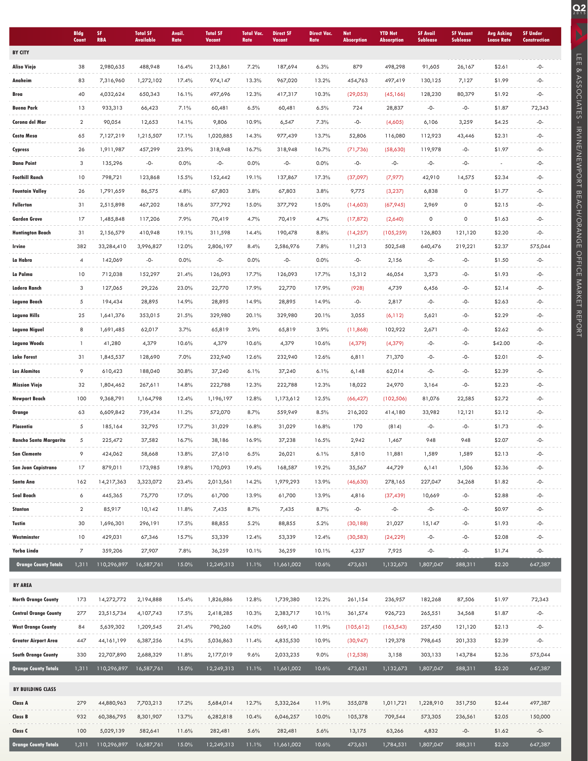|                             | <b>Bldg</b><br>Count | SF.<br><b>RBA</b> | <b>Total SF</b><br><b>Available</b> | Avail.<br>Rate | <b>Total SF</b><br><b>Vacant</b> | <b>Total Vac.</b><br>Rate | <b>Direct SF</b><br><b>Vacant</b> | <b>Direct Vac.</b><br>Rate | <b>Net</b><br><b>Absorption</b> | <b>YTD Net</b><br><b>Absorption</b> | <b>SF Avail</b><br><b>Sublease</b> | <b>SF Vacant</b><br><b>Sublease</b> | <b>Avg Asking</b><br><b>Lease Rate</b> | <b>SF Under</b><br><b>Construction</b> |
|-----------------------------|----------------------|-------------------|-------------------------------------|----------------|----------------------------------|---------------------------|-----------------------------------|----------------------------|---------------------------------|-------------------------------------|------------------------------------|-------------------------------------|----------------------------------------|----------------------------------------|
| <b>BY CITY</b>              |                      |                   |                                     |                |                                  |                           |                                   |                            |                                 |                                     |                                    |                                     |                                        |                                        |
| <b>Aliso Viejo</b>          | 38                   | 2,980,635         | 488,948                             | 16.4%          | 213,861                          | 7.2%                      | 187,694                           | 6.3%                       | 879                             | 498,298                             | 91,605                             | 26,167                              | \$2.61                                 | $-0-$                                  |
| Anaheim                     | 83                   | 7,316,960         | 1,272,102                           | 17.4%          | 974,147                          | 13.3%                     | 967,020                           | 13.2%                      | 454,763                         | 497,419                             | 130,125                            | 7,127                               | \$1.99                                 | -0-                                    |
| Brea                        | 40                   | 4,032,624         | 650,343                             | 16.1%          | 497,696                          | 12.3%                     | 417,317                           | 10.3%                      | (29,053)                        | (45, 166)                           | 128,230                            | 80,379                              | \$1.92                                 | $-0-$                                  |
| <b>Buena Park</b>           | 13                   | 933,313           | 66,423                              | 7.1%           | 60,481                           | 6.5%                      | 60,481                            | 6.5%                       | 724                             | 28,837                              | -0-                                | -0-                                 | \$1.87                                 | 72,343                                 |
| Corona del Mar              | $\overline{2}$       | 90,054            | 12,653                              | 14.1%          | 9,806                            | 10.9%                     | 6,547                             | 7.3%                       | -0-                             | (4,605)                             | 6,106                              | 3,259                               | \$4.25                                 | -0-                                    |
| Costa Mesa                  | 65                   | 7,127,219         | 1,215,507                           | 17.1%          | 1,020,885                        | 14.3%                     | 977,439                           | 13.7%                      | 52,806                          | 116,080                             | 112,923                            | 43,446                              | \$2.31                                 | -0-                                    |
| Cypress                     | 26                   | 1,911,987         | 457,299                             | 23.9%          | 318,948                          | 16.7%                     | 318,948                           | 16.7%                      | (71, 736)                       | (58,630)                            | 119,978                            | -0-                                 | \$1.97                                 | -0-                                    |
| <b>Dana Point</b>           | 3                    | 135,296           | -0-                                 | 0.0%           | -0-                              | 0.0%                      | $-0-$                             | 0.0%                       | -0-                             | -0-                                 | $-0-$                              | -0-                                 |                                        | $-0-$                                  |
| <b>Foothill Ranch</b>       | 10                   | 798,721           | 123,868                             | 15.5%          | 152,442                          | 19.1%                     | 137,867                           | 17.3%                      | (37,097)                        | (7, 977)                            | 42,910                             | 14,575                              | \$2.34                                 | -0-                                    |
| Fountain Valley             | 26                   | 1,791,659         | 86,575                              | 4.8%           | 67,803                           | 3.8%                      | 67,803                            | 3.8%                       | 9,775                           | (3, 237)                            | 6,838                              | 0                                   | \$1.77                                 | $-0-$                                  |
| <b>Fullerton</b>            | 31                   | 2,515,898         | 467,202                             | 18.6%          | 377,792                          | 15.0%                     | 377,792                           | 15.0%                      | (14,603)                        | (67, 945)                           | 2,969                              | $\mathsf{O}\xspace$                 | \$2.15                                 | -0-                                    |
| <b>Garden Grove</b>         | 17                   | 1,485,848         | 117,206                             | 7.9%           | 70,419                           | 4.7%                      | 70,419                            | 4.7%                       | (17, 872)                       | (2,640)                             | 0                                  | $\mathsf{O}\xspace$                 | \$1.63                                 | -0-                                    |
| Huntington Beach            | 31                   | 2,156,579         | 410,948                             | 19.1%          | 311,598                          | 14.4%                     | 190,478                           | 8.8%                       | (14, 257)                       | (105, 259)                          | 126,803                            | 121,120                             | \$2.20                                 | $-0-$                                  |
| Irvine                      | 382                  | 33,284,410        | 3,996,827                           | 12.0%          | 2,806,197                        | 8.4%                      | 2,586,976                         | 7.8%                       | 11,213                          | 502,548                             | 640,476                            | 219,221                             | \$2.37                                 | 575,044                                |
| La Habra                    | 4                    | 142,069           | -0-                                 | 0.0%           | -0-                              | 0.0%                      | -0-                               | 0.0%                       | -0-                             | 2,156                               | -0-                                | -0-                                 | \$1.50                                 | -0-                                    |
| La Palma                    | 10                   | 712,038           | 152,297                             | 21.4%          | 126,093                          | 17.7%                     | 126,093                           | 17.7%                      | 15,312                          | 46,054                              | 3,573                              | -0-                                 | \$1.93                                 | $-0-$                                  |
| Ladera Ranch                | 3                    | 127,065           | 29,226                              | 23.0%          | 22,770                           | 17.9%                     | 22,770                            | 17.9%                      | (928)                           | 4,739                               | 6,456                              | -0-                                 | \$2.14                                 | -0-                                    |
| Laguna Beach                | 5                    | 194,434           | 28,895                              | 14.9%          | 28,895                           | 14.9%                     | 28,895                            | 14.9%                      | -0-                             | 2,817                               | $-0-$                              | -0-                                 | \$2.63                                 | $-0-$                                  |
| Laguna Hills                | 25                   | 1,641,376         | 353,015                             | 21.5%          | 329,980                          | 20.1%                     | 329,980                           | 20.1%                      | 3,055                           | (6, 112)                            | 5,621                              | -0-                                 | \$2.29                                 | -0-                                    |
| Laguna Niguel               | 8                    | 1,691,485         | 62,017                              | 3.7%           | 65,819                           | 3.9%                      | 65,819                            | 3.9%                       | (11, 868)                       | 102,922                             | 2,671                              | -0-                                 | \$2.62                                 | -0-                                    |
| <b>Laguna Woods</b>         | $\mathbf{1}$         | 41,280            | 4,379                               | 10.6%          | 4,379                            | 10.6%                     | 4,379                             | 10.6%                      | (4, 379)                        | (4, 379)                            | $-0-$                              | $-0-$                               | \$42.00                                | $-0-$                                  |
| <b>Lake Forest</b>          | 31                   | 1,845,537         | 128,690                             | 7.0%           | 232,940                          | 12.6%                     | 232,940                           | 12.6%                      | 6,811                           | 71,370                              | -0-                                | -0-                                 | \$2.01                                 | -0-                                    |
| <b>Los Alamitos</b>         | 9                    | 610,423           | 188,040                             | 30.8%          | 37,240                           | 6.1%                      | 37,240                            | 6.1%                       | 6,148                           | 62,014                              | $-0-$                              | -0-                                 | \$2.39                                 | $-0-$                                  |
| <b>Mission Viejo</b>        | 32                   | 1,804,462         | 267,611                             | 14.8%          | 222,788                          | 12.3%                     | 222,788                           | 12.3%                      | 18,022                          | 24,970                              | 3,164                              | -0-                                 | \$2.23                                 | -0-                                    |
| <b>Newport Beach</b>        | 100                  | 9,368,791         | 1,164,798                           | 12.4%          | 1,196,197                        | 12.8%                     | 1,173,612                         | 12.5%                      | (66, 427)                       | (102, 506)                          | 81,076                             | 22,585                              | \$2.72                                 | -0-                                    |
| Orange                      | 63                   | 6,609,842         | 739,434                             | 11.2%          | 572,070                          | 8.7%                      | 559,949                           | 8.5%                       | 216,202                         | 414,180                             | 33,982                             | 12,121                              | \$2.12                                 | -0-                                    |
| Placentia                   | 5                    | 185,164           | 32,795                              | 17.7%          | 31,029                           | 16.8%                     | 31,029                            | 16.8%                      | 170                             | (814)                               | -0-                                | -0-                                 | \$1.73                                 | -0-                                    |
| Rancho Santa Margarita      | 5                    | 225,472           | 37,582                              | 16.7%          | 38,186                           | 16.9%                     | 37,238                            | 16.5%                      | 2,942                           | 1,467                               | 948                                | 948                                 | \$2.07                                 | $-0-$                                  |
| <b>San Clemente</b>         | 9                    | 424,062           | 58,668                              | 13.8%          | 27,610                           | 6.5%                      | 26,021                            | 6.1%                       | 5,810                           | 11,881                              | 1,589                              | 1,589                               | \$2.13                                 | -0-                                    |
| San Juan Capistrano         | 17                   | 879,011           | 173,985                             | 19.8%          | 170,093                          | 19.4%                     | 168,587                           | 19.2%                      | 35,567                          | 44,729                              | 6,141                              | 1,506                               | \$2.36                                 | $-0-$                                  |
| Santa Ana                   | 162                  | 14,217,363        | 3,323,072                           | 23.4%          | 2,013,561                        | 14.2%                     | 1,979,293                         | 13.9%                      | (46, 630)                       | 278,165                             | 227,047                            | 34,268                              | \$1.82                                 | -0-                                    |
| Seal Beach                  | 6                    | 445,365           | 75,770                              | 17.0%          | 61,700                           | 13.9%                     | 61,700                            | 13.9%                      | 4,816                           | (37, 439)                           | 10,669                             | -0-                                 | \$2.88                                 | -0-                                    |
| Stanton                     | $\overline{2}$       | 85,917            | 10,142                              | 11.8%          | 7,435                            | 8.7%                      | 7,435                             | 8.7%                       | -0-                             | -0-                                 | -0-                                | -0-                                 | \$0.97                                 | $-0-$                                  |
| Tustin                      | 30                   | 1,696,301         | 296,191                             | 17.5%          | 88,855                           | 5.2%                      | 88,855                            | 5.2%                       | (30, 188)                       | 21,027                              | 15,147                             | -0-                                 | \$1.93                                 | -0-                                    |
| Westminster                 | 10                   | 429,031           | 67,346                              | 15.7%          | 53,339                           | 12.4%                     | 53,339                            | 12.4%                      | (30, 583)                       | (24, 229)                           | -0-                                | -0-                                 | \$2.08                                 | -0-                                    |
| Yorba Linda                 | 7                    | 359,206           | 27,907                              | 7.8%           | 36,259                           | 10.1%                     | 36,259                            | 10.1%                      | 4,237                           | 7,925                               | -0-                                | $-0-$                               | \$1.74                                 | $-0-$                                  |
| <b>Orange County Totals</b> | 1,311                | 110,296,897       | 16,587,761                          | 15.0%          | 12,249,313                       | 11.1%                     | 11,661,002                        | 10.6%                      | 473,631                         | 1,132,673                           | 1,807,047                          | 588,311                             | \$2.20                                 | 647,387                                |
|                             |                      |                   |                                     |                |                                  |                           |                                   |                            |                                 |                                     |                                    |                                     |                                        |                                        |
| <b>BY AREA</b>              |                      |                   |                                     |                |                                  |                           |                                   |                            |                                 |                                     |                                    |                                     |                                        |                                        |
| <b>North Orange County</b>  | 173                  | 14,272,772        | 2,194,888                           | 15.4%          | 1,826,886                        | 12.8%                     | 1,739,380                         | 12.2%                      | 261,154                         | 236,957                             | 182,268                            | 87,506                              | \$1.97                                 | 72,343                                 |
| Central Orange County       | 277                  | 23,515,734        | 4,107,743                           | 17.5%          | 2,418,285                        | 10.3%                     | 2,383,717                         | 10.1%                      | 361,574                         | 926,723                             | 265,551                            | 34,568                              | \$1.87                                 | $-0-$                                  |
| West Orange County          | 84                   | 5,639,302         | 1,209,545                           | 21.4%          | 790,260                          | 14.0%                     | 669,140                           | 11.9%                      | (105,612)                       | (163, 543)                          | 257,450                            | 121,120                             | \$2.13                                 | -0-                                    |
| Greater Airport Area        | 447                  | 44, 161, 199      | 6,387,256                           | 14.5%          | 5,036,863                        | 11.4%                     | 4,835,530                         | 10.9%                      | (30,947)                        | 129,378                             | 798,645                            | 201,333                             | \$2.39                                 | $-0-$                                  |
| <b>South Orange County</b>  | 330                  | 22,707,890        | 2,688,329                           | 11.8%          | 2,177,019                        | 9.6%                      | 2,033,235                         | 9.0%                       | (12, 538)                       | 3,158                               | 303,133                            | 143,784                             | \$2.36                                 | 575,044                                |
| <b>Orange County Totals</b> | 1,311                | 110,296,897       | 16,587,761                          | 15.0%          | 12,249,313                       | 11.1%                     | 11,661,002                        | 10.6%                      | 473,631                         | 1,132,673                           | 1,807,047                          | 588,311                             | \$2.20                                 | 647,387                                |
| BY BUILDING CLASS           |                      |                   |                                     |                |                                  |                           |                                   |                            |                                 |                                     |                                    |                                     |                                        |                                        |
| Class A                     | 279                  | 44,880,963        | 7,703,213                           | 17.2%          | 5,684,014                        | 12.7%                     | 5,332,264                         | 11.9%                      | 355,078                         | 1,011,721                           | 1,228,910                          | 351,750                             | \$2.44                                 | 497,387                                |
| Class B                     | 932                  | 60,386,795        | 8,301,907                           | 13.7%          | 6,282,818                        | 10.4%                     | 6,046,257                         | 10.0%                      | 105,378                         | 709,544                             | 573,305                            | 236,561                             | \$2.05                                 | 150,000                                |
| Class C                     | 100                  | 5,029,139         | 582,641                             | 11.6%          | 282,481                          | 5.6%                      | 282,481                           | 5.6%                       | 13,175                          | 63,266                              | 4,832                              | -0-                                 | \$1.62                                 | -0-                                    |
| <b>Orange County Totals</b> | 1,311                | 110,296,897       | 16,587,761                          | 15.0%          | 12,249,313                       | 11.1%                     | 11,661,002                        | 10.6%                      | 473,631                         | 1,784,531                           | 1,807,047                          | 588,311                             | \$2.20                                 | 647,387                                |
|                             |                      |                   |                                     |                |                                  |                           |                                   |                            |                                 |                                     |                                    |                                     |                                        |                                        |

LEE & ASSOCIATES - IRVINE/NEWPORT BEACH/ORANGE OFFICE MARKET REPORT

SC LIEE & ASSOCIATES - IRVINEMPORT BEACH/ORANGE OFFICE MARKET REPORT